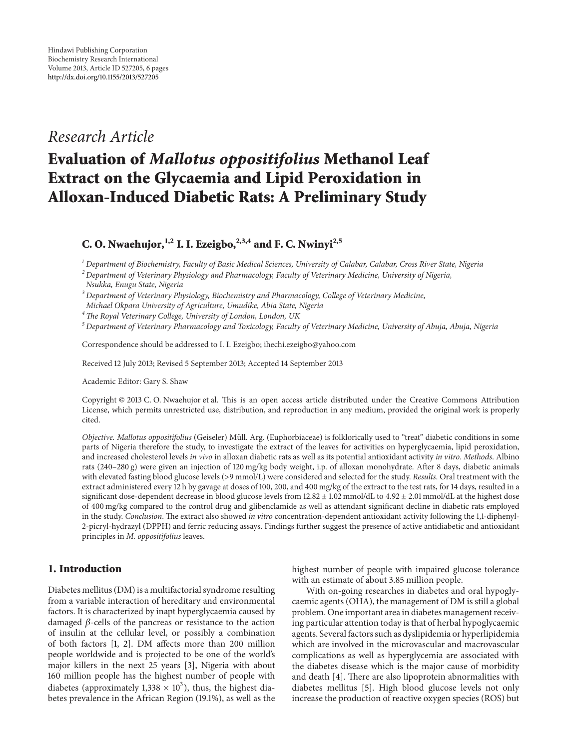# *Research Article*

# **Evaluation of** *Mallotus oppositifolius* **Methanol Leaf Extract on the Glycaemia and Lipid Peroxidation in Alloxan-Induced Diabetic Rats: A Preliminary Study**

**C. O. Nwaehujor**,<sup> $1,2$ </sup> **I. I. Ezeigbo,** $2,3,4$  **and F. C. Nwinyi** $2,5$ 

*<sup>1</sup> Department of Biochemistry, Faculty of Basic Medical Sciences, University of Calabar, Calabar, Cross River State, Nigeria*

*<sup>2</sup> Department of Veterinary Physiology and Pharmacology, Faculty of Veterinary Medicine, University of Nigeria,*

*<sup>3</sup> Department of Veterinary Physiology, Biochemistry and Pharmacology, College of Veterinary Medicine, Michael Okpara University of Agriculture, Umudike, Abia State, Nigeria*

*4The Royal Veterinary College, University of London, London, UK*

*<sup>5</sup> Department of Veterinary Pharmacology and Toxicology, Faculty of Veterinary Medicine, University of Abuja, Abuja, Nigeria*

Correspondence should be addressed to I. I. Ezeigbo; ihechi.ezeigbo@yahoo.com

Received 12 July 2013; Revised 5 September 2013; Accepted 14 September 2013

Academic Editor: Gary S. Shaw

Copyright © 2013 C. O. Nwaehujor et al. This is an open access article distributed under the Creative Commons Attribution License, which permits unrestricted use, distribution, and reproduction in any medium, provided the original work is properly cited.

*Objective. Mallotus oppositifolius* (Geiseler) Müll. Arg. (Euphorbiaceae) is folklorically used to "treat" diabetic conditions in some parts of Nigeria therefore the study, to investigate the extract of the leaves for activities on hyperglycaemia, lipid peroxidation, and increased cholesterol levels *in vivo* in alloxan diabetic rats as well as its potential antioxidant activity *in vitro*. *Methods*. Albino rats (240–280 g) were given an injection of 120 mg/kg body weight, i.p. of alloxan monohydrate. After 8 days, diabetic animals with elevated fasting blood glucose levels (>9 mmol/L) were considered and selected for the study. *Results*. Oral treatment with the extract administered every 12 h by gavage at doses of 100, 200, and 400 mg/kg of the extract to the test rats, for 14 days, resulted in a significant dose-dependent decrease in blood glucose levels from  $12.82 \pm 1.02$  mmol/dL to  $4.92 \pm 2.01$  mmol/dL at the highest dose of 400 mg/kg compared to the control drug and glibenclamide as well as attendant significant decline in diabetic rats employed in the study. *Conclusion*. The extract also showed *in vitro* concentration-dependent antioxidant activity following the 1,1-diphenyl-2-picryl-hydrazyl (DPPH) and ferric reducing assays. Findings further suggest the presence of active antidiabetic and antioxidant principles in *M. oppositifolius* leaves.

# **1. Introduction**

Diabetes mellitus (DM) is a multifactorial syndrome resulting from a variable interaction of hereditary and environmental factors. It is characterized by inapt hyperglycaemia caused by damaged  $\beta$ -cells of the pancreas or resistance to the action of insulin at the cellular level, or possibly a combination of both factors [\[1,](#page-4-1) [2](#page-4-2)]. DM affects more than 200 million people worldwide and is projected to be one of the world's major killers in the next 25 years [\[3\]](#page-4-3), Nigeria with about 160 million people has the highest number of people with diabetes (approximately 1,338  $\times$  10<sup>3</sup>), thus, the highest diabetes prevalence in the African Region (19.1%), as well as the

highest number of people with impaired glucose tolerance with an estimate of about 3.85 million people.

With on-going researches in diabetes and oral hypoglycaemic agents (OHA), the management of DM is still a global problem. One important area in diabetes management receiving particular attention today is that of herbal hypoglycaemic agents. Several factors such as dyslipidemia or hyperlipidemia which are involved in the microvascular and macrovascular complications as well as hyperglycemia are associated with the diabetes disease which is the major cause of morbidity and death [\[4\]](#page-4-4). There are also lipoprotein abnormalities with diabetes mellitus [\[5](#page-4-5)]. High blood glucose levels not only increase the production of reactive oxygen species (ROS) but

*Nsukka, Enugu State, Nigeria*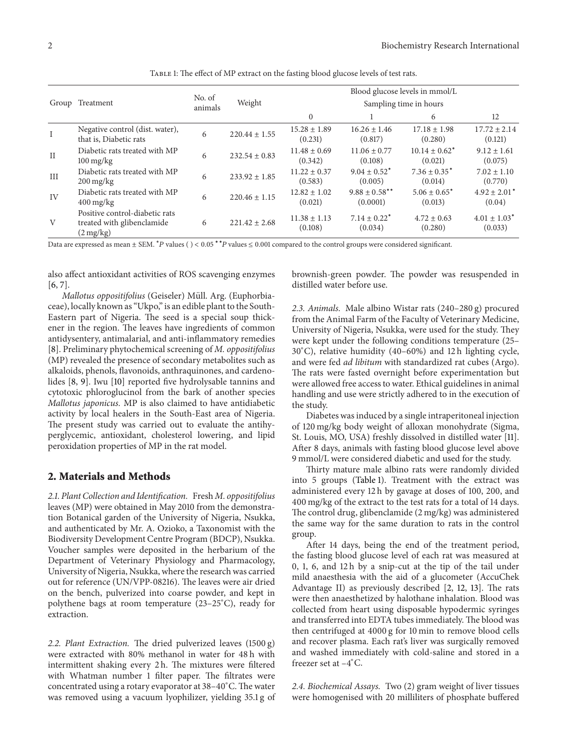| Group    | Treatment                                                                           | No. of<br>animals | Weight            | Blood glucose levels in mmol/L<br>Sampling time in hours |                                                           |                               |                              |
|----------|-------------------------------------------------------------------------------------|-------------------|-------------------|----------------------------------------------------------|-----------------------------------------------------------|-------------------------------|------------------------------|
|          |                                                                                     |                   |                   |                                                          |                                                           |                               |                              |
|          |                                                                                     |                   |                   | $\bf{I}$                                                 | Negative control (dist. water),<br>that is, Diabetic rats | 6                             | $220.44 \pm 1.55$            |
| $\rm II$ | Diabetic rats treated with MP<br>$100 \frac{\text{mg}}{\text{kg}}$                  | 6                 | $232.54 \pm 0.83$ | $11.48 \pm 0.69$<br>(0.342)                              | $11.06 \pm 0.77$<br>(0.108)                               | $10.14 \pm 0.62^*$<br>(0.021) | $9.12 \pm 1.61$<br>(0.075)   |
| III      | Diabetic rats treated with MP<br>$200 \,\mathrm{mg/kg}$                             | 6                 | $233.92 \pm 1.85$ | $11.22 \pm 0.37$<br>(0.583)                              | $9.04 + 0.52^*$<br>(0.005)                                | $7.36 + 0.35^*$<br>(0.014)    | $7.02 \pm 1.10$<br>(0.770)   |
| IV       | Diabetic rats treated with MP<br>$400 \,\mathrm{mg/kg}$                             | 6                 | $220.46 \pm 1.15$ | $12.82 \pm 1.02$<br>(0.021)                              | $9.88 \pm 0.58$ **<br>(0.0001)                            | $5.06 \pm 0.65^*$<br>(0.013)  | $4.92 \pm 2.01^*$<br>(0.04)  |
| V        | Positive control-diabetic rats<br>treated with glibenclamide<br>$(2 \frac{mg}{kg})$ | 6                 | $221.42 \pm 2.68$ | $11.38 \pm 1.13$<br>(0.108)                              | $7.14 \pm 0.22^*$<br>(0.034)                              | $4.72 \pm 0.63$<br>(0.280)    | $4.01 \pm 1.03^*$<br>(0.033) |

<span id="page-1-0"></span>Table 1: The effect of MP extract on the fasting blood glucose levels of test rats.

Data are expressed as mean ± SEM. <sup>\*</sup>P values () < 0.05 <sup>\*</sup>\*P values ≤ 0.001 compared to the control groups were considered significant.

also affect antioxidant activities of ROS scavenging enzymes [\[6,](#page-4-6) [7](#page-4-7)].

*Mallotus oppositifolius* (Geiseler) Müll. Arg. (Euphorbiaceae), locally known as "Ukpo," is an edible plant to the South-Eastern part of Nigeria. The seed is a special soup thickener in the region. The leaves have ingredients of common antidysentery, antimalarial, and anti-inflammatory remedies [\[8\]](#page-4-8). Preliminary phytochemical screening of *M. oppositifolius* (MP) revealed the presence of secondary metabolites such as alkaloids, phenols, flavonoids, anthraquinones, and cardenolides [\[8](#page-4-8), [9](#page-4-9)]. Iwu [\[10\]](#page-4-10) reported five hydrolysable tannins and cytotoxic phloroglucinol from the bark of another species *Mallotus japonicus.* MP is also claimed to have antidiabetic activity by local healers in the South-East area of Nigeria. The present study was carried out to evaluate the antihyperglycemic, antioxidant, cholesterol lowering, and lipid peroxidation properties of MP in the rat model.

#### **2. Materials and Methods**

*2.1. Plant Collection and Identification.* Fresh *M. oppositifolius* leaves (MP) were obtained in May 2010 from the demonstration Botanical garden of the University of Nigeria, Nsukka, and authenticated by Mr. A. Ozioko, a Taxonomist with the Biodiversity Development Centre Program (BDCP), Nsukka. Voucher samples were deposited in the herbarium of the Department of Veterinary Physiology and Pharmacology, University of Nigeria, Nsukka, where the research was carried out for reference (UN/VPP-08216). The leaves were air dried on the bench, pulverized into coarse powder, and kept in polythene bags at room temperature (23–25<sup>∘</sup> C), ready for extraction.

*2.2. Plant Extraction.* The dried pulverized leaves (1500 g) were extracted with 80% methanol in water for 48 h with intermittent shaking every 2 h. The mixtures were filtered with Whatman number 1 filter paper. The filtrates were concentrated using a rotary evaporator at 38–40<sup>∘</sup> C. The water was removed using a vacuum lyophilizer, yielding 35.1 g of

brownish-green powder. The powder was resuspended in distilled water before use.

*2.3. Animals.* Male albino Wistar rats (240–280 g) procured from the Animal Farm of the Faculty of Veterinary Medicine, University of Nigeria, Nsukka, were used for the study. They were kept under the following conditions temperature (25– 30<sup>∘</sup> C), relative humidity (40–60%) and 12 h lighting cycle, and were fed *ad libitum* with standardized rat cubes (Argo). The rats were fasted overnight before experimentation but were allowed free access to water. Ethical guidelines in animal handling and use were strictly adhered to in the execution of the study.

Diabetes was induced by a single intraperitoneal injection of 120 mg/kg body weight of alloxan monohydrate (Sigma, St. Louis, MO, USA) freshly dissolved in distilled water [\[11](#page-4-11)]. After 8 days, animals with fasting blood glucose level above 9 mmol/L were considered diabetic and used for the study.

Thirty mature male albino rats were randomly divided into 5 groups [\(Table 1\)](#page-1-0). Treatment with the extract was administered every 12 h by gavage at doses of 100, 200, and 400 mg/kg of the extract to the test rats for a total of 14 days. The control drug, glibenclamide (2 mg/kg) was administered the same way for the same duration to rats in the control group.

After 14 days, being the end of the treatment period, the fasting blood glucose level of each rat was measured at 0, 1, 6, and 12 h by a snip-cut at the tip of the tail under mild anaesthesia with the aid of a glucometer (AccuChek Advantage II) as previously described [\[2,](#page-4-2) [12](#page-4-12), [13](#page-4-13)]. The rats were then anaesthetized by halothane inhalation. Blood was collected from heart using disposable hypodermic syringes and transferred into EDTA tubes immediately. The blood was then centrifuged at 4000 g for 10 min to remove blood cells and recover plasma. Each rat's liver was surgically removed and washed immediately with cold-saline and stored in a freezer set at –4<sup>∘</sup> C.

*2.4. Biochemical Assays.* Two (2) gram weight of liver tissues were homogenised with 20 milliliters of phosphate buffered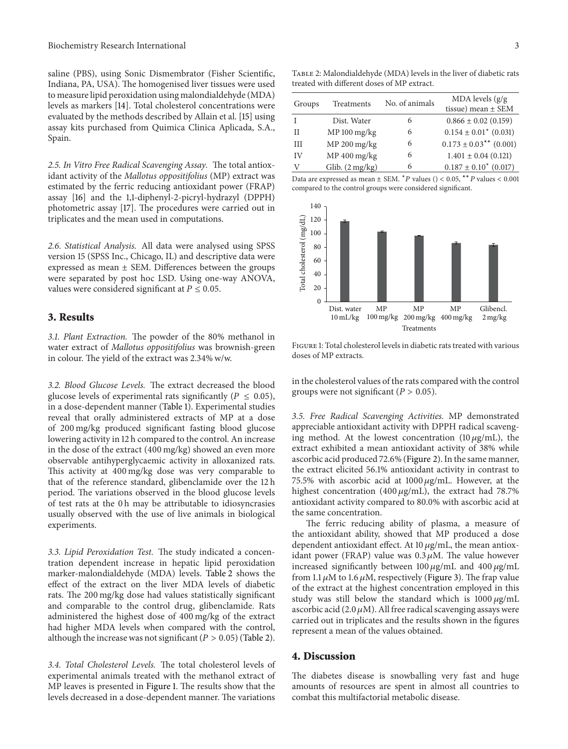saline (PBS), using Sonic Dismembrator (Fisher Scientific, Indiana, PA, USA). The homogenised liver tissues were used to measure lipid peroxidation using malondialdehyde (MDA) levels as markers [\[14\]](#page-4-14). Total cholesterol concentrations were evaluated by the methods described by Allain et al. [\[15\]](#page-4-15) using assay kits purchased from Quimica Clinica Aplicada, S.A., Spain.

*2.5. In Vitro Free Radical Scavenging Assay.* The total antioxidant activity of the *Mallotus oppositifolius* (MP) extract was estimated by the ferric reducing antioxidant power (FRAP) assay [\[16\]](#page-4-16) and the 1,1-diphenyl-2-picryl-hydrazyl (DPPH) photometric assay [\[17](#page-4-17)]. The procedures were carried out in triplicates and the mean used in computations.

*2.6. Statistical Analysis.* All data were analysed using SPSS version 15 (SPSS Inc., Chicago, IL) and descriptive data were expressed as mean  $\pm$  SEM. Differences between the groups were separated by post hoc LSD. Using one-way ANOVA, values were considered significant at  $P \leq 0.05$ .

## **3. Results**

*3.1. Plant Extraction.* The powder of the 80% methanol in water extract of *Mallotus oppositifolius* was brownish-green in colour. The yield of the extract was 2.34% w/w.

*3.2. Blood Glucose Levels.* The extract decreased the blood glucose levels of experimental rats significantly ( $P \leq 0.05$ ), in a dose-dependent manner [\(Table 1\)](#page-1-0). Experimental studies reveal that orally administered extracts of MP at a dose of 200 mg/kg produced significant fasting blood glucose lowering activity in 12 h compared to the control. An increase in the dose of the extract (400 mg/kg) showed an even more observable antihyperglycaemic activity in alloxanized rats. This activity at 400 mg/kg dose was very comparable to that of the reference standard, glibenclamide over the 12 h period. The variations observed in the blood glucose levels of test rats at the 0 h may be attributable to idiosyncrasies usually observed with the use of live animals in biological experiments.

*3.3. Lipid Peroxidation Test.* The study indicated a concentration dependent increase in hepatic lipid peroxidation marker-malondialdehyde (MDA) levels. [Table 2](#page-2-0) shows the effect of the extract on the liver MDA levels of diabetic rats. The 200 mg/kg dose had values statistically significant and comparable to the control drug, glibenclamide. Rats administered the highest dose of 400 mg/kg of the extract had higher MDA levels when compared with the control, although the increase was not significant ( $P > 0.05$ ) [\(Table 2\)](#page-2-0).

*3.4. Total Cholesterol Levels.* The total cholesterol levels of experimental animals treated with the methanol extract of MP leaves is presented in [Figure 1.](#page-2-1) The results show that the levels decreased in a dose-dependent manner. The variations

<span id="page-2-0"></span>Table 2: Malondialdehyde (MDA) levels in the liver of diabetic rats treated with different doses of MP extract.

| Groups | Treatments      | No. of animals | $MDA$ levels $(g/g)$<br>tissue) mean $\pm$ SEM |
|--------|-----------------|----------------|------------------------------------------------|
|        | Dist. Water     | 6              | $0.866 \pm 0.02$ (0.159)                       |
| Н      | $MP 100$ mg/kg  | 6              | $0.154 \pm 0.01^*$ (0.031)                     |
| Ħ      | MP 200 mg/kg    | 6              | $0.173 \pm 0.03$ <sup>**</sup> (0.001)         |
| IV     | MP 400 mg/kg    | 6              | $1.401 \pm 0.04$ (0.121)                       |
| V      | Glib. (2 mg/kg) | 6              | $0.187 \pm 0.10^*$ (0.017)                     |

Data are expressed as mean  $\pm$  SEM.  $*$  P values () < 0.05,  $*$  <sup>\*</sup> P values < 0.001 compared to the control groups were considered significant.



<span id="page-2-1"></span>Figure 1: Total cholesterol levels in diabetic rats treated with various doses of MP extracts.

in the cholesterol values of the rats compared with the control groups were not significant ( $P > 0.05$ ).

*3.5. Free Radical Scavenging Activities.* MP demonstrated appreciable antioxidant activity with DPPH radical scavenging method. At the lowest concentration  $(10 \mu g/mL)$ , the extract exhibited a mean antioxidant activity of 38% while ascorbic acid produced 72.6% [\(Figure 2\)](#page-3-0). In the same manner, the extract elicited 56.1% antioxidant activity in contrast to 75.5% with ascorbic acid at  $1000 \mu g/mL$ . However, at the highest concentration (400  $\mu$ g/mL), the extract had 78.7% antioxidant activity compared to 80.0% with ascorbic acid at the same concentration.

The ferric reducing ability of plasma, a measure of the antioxidant ability, showed that MP produced a dose dependent antioxidant effect. At  $10 \mu g/mL$ , the mean antioxidant power (FRAP) value was  $0.3 \mu$ M. The value however increased significantly between  $100 \mu g/mL$  and  $400 \mu g/mL$ from 1.1  $\mu$ M to 1.6  $\mu$ M, respectively [\(Figure 3\)](#page-3-1). The frap value of the extract at the highest concentration employed in this study was still below the standard which is  $1000 \mu g/mL$ ascorbic acid (2.0  $\mu$ M). All free radical scavenging assays were carried out in triplicates and the results shown in the figures represent a mean of the values obtained.

#### **4. Discussion**

The diabetes disease is snowballing very fast and huge amounts of resources are spent in almost all countries to combat this multifactorial metabolic disease.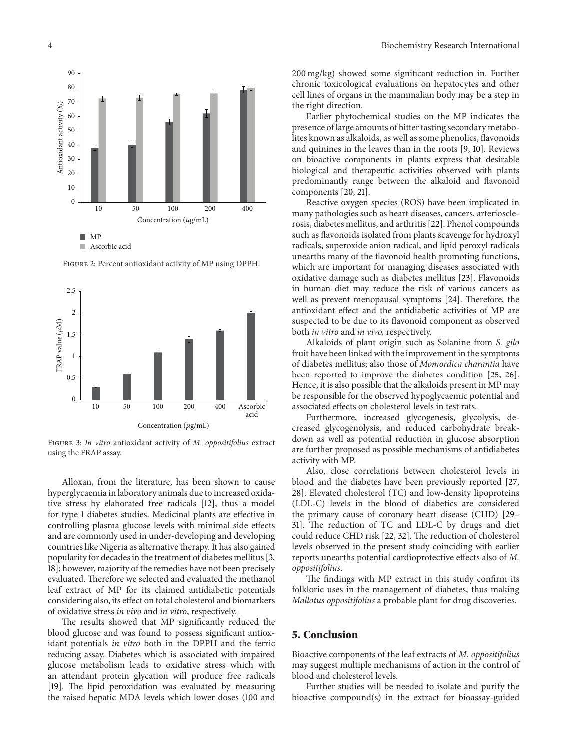

<span id="page-3-0"></span>Figure 2: Percent antioxidant activity of MP using DPPH.

10 50 100 200 400

Concentration ( $\mu$ g/mL)



<span id="page-3-1"></span>Figure 3: *In vitro* antioxidant activity of *M. oppositifolius* extract using the FRAP assay.

Alloxan, from the literature, has been shown to cause hyperglycaemia in laboratory animals due to increased oxidative stress by elaborated free radicals [\[12\]](#page-4-12), thus a model for type 1 diabetes studies. Medicinal plants are effective in controlling plasma glucose levels with minimal side effects and are commonly used in under-developing and developing countries like Nigeria as alternative therapy. It has also gained popularity for decades in the treatment of diabetes mellitus [\[3](#page-4-3), [18\]](#page-4-18); however, majority of the remedies have not been precisely evaluated. Therefore we selected and evaluated the methanol leaf extract of MP for its claimed antidiabetic potentials considering also, its effect on total cholesterol and biomarkers of oxidative stress *in vivo* and *in vitro*, respectively.

The results showed that MP significantly reduced the blood glucose and was found to possess significant antioxidant potentials *in vitro* both in the DPPH and the ferric reducing assay. Diabetes which is associated with impaired glucose metabolism leads to oxidative stress which with an attendant protein glycation will produce free radicals [\[19](#page-4-19)]. The lipid peroxidation was evaluated by measuring the raised hepatic MDA levels which lower doses (100 and

200 mg/kg) showed some significant reduction in. Further chronic toxicological evaluations on hepatocytes and other cell lines of organs in the mammalian body may be a step in the right direction.

Earlier phytochemical studies on the MP indicates the presence of large amounts of bitter tasting secondary metabolites known as alkaloids, as well as some phenolics, flavonoids and quinines in the leaves than in the roots [\[9](#page-4-9), [10\]](#page-4-10). Reviews on bioactive components in plants express that desirable biological and therapeutic activities observed with plants predominantly range between the alkaloid and flavonoid components [\[20,](#page-4-20) [21](#page-4-21)].

Reactive oxygen species (ROS) have been implicated in many pathologies such as heart diseases, cancers, arteriosclerosis, diabetes mellitus, and arthritis [\[22\]](#page-4-22). Phenol compounds such as flavonoids isolated from plants scavenge for hydroxyl radicals, superoxide anion radical, and lipid peroxyl radicals unearths many of the flavonoid health promoting functions, which are important for managing diseases associated with oxidative damage such as diabetes mellitus [\[23\]](#page-4-23). Flavonoids in human diet may reduce the risk of various cancers as well as prevent menopausal symptoms [\[24\]](#page-4-24). Therefore, the antioxidant effect and the antidiabetic activities of MP are suspected to be due to its flavonoid component as observed both *in vitro* and *in vivo,* respectively.

Alkaloids of plant origin such as Solanine from *S. gilo* fruit have been linked with the improvement in the symptoms of diabetes mellitus; also those of *Momordica charantia* have been reported to improve the diabetes condition [\[25](#page-4-25), [26](#page-4-26)]. Hence, it is also possible that the alkaloids present in MP may be responsible for the observed hypoglycaemic potential and associated effects on cholesterol levels in test rats.

Furthermore, increased glycogenesis, glycolysis, decreased glycogenolysis, and reduced carbohydrate breakdown as well as potential reduction in glucose absorption are further proposed as possible mechanisms of antidiabetes activity with MP.

Also, close correlations between cholesterol levels in blood and the diabetes have been previously reported [\[27](#page-4-27), [28](#page-4-28)]. Elevated cholesterol (TC) and low-density lipoproteins (LDL-C) levels in the blood of diabetics are considered the primary cause of coronary heart disease (CHD) [\[29–](#page-5-0) [31](#page-5-1)]. The reduction of TC and LDL-C by drugs and diet could reduce CHD risk [\[22,](#page-4-22) [32](#page-5-2)]. The reduction of cholesterol levels observed in the present study coinciding with earlier reports unearths potential cardioprotective effects also of *M. oppositifolius*.

The findings with MP extract in this study confirm its folkloric uses in the management of diabetes, thus making *Mallotus oppositifolius* a probable plant for drug discoveries.

# **5. Conclusion**

Bioactive components of the leaf extracts of *M. oppositifolius* may suggest multiple mechanisms of action in the control of blood and cholesterol levels.

Further studies will be needed to isolate and purify the bioactive compound(s) in the extract for bioassay-guided

> $M<sup>p</sup>$ **Ascorbic acid**

Antioxidant activity (%)

Antioxidant activity (%)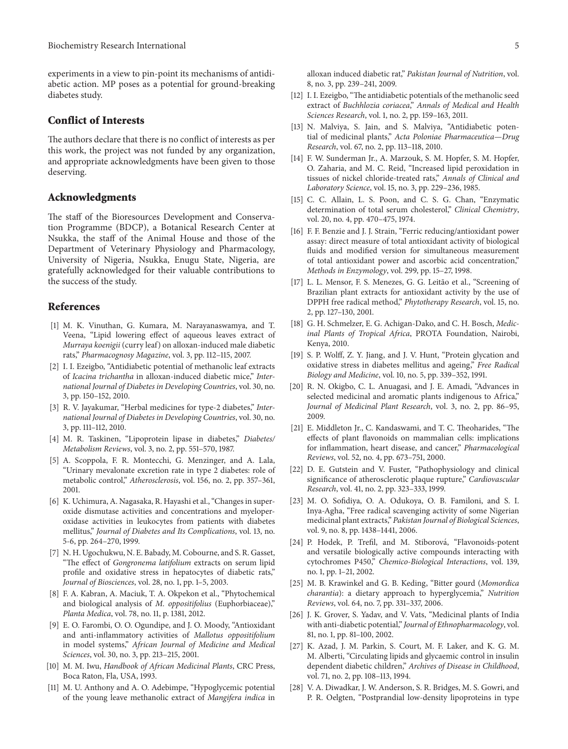experiments in a view to pin-point its mechanisms of antidiabetic action. MP poses as a potential for ground-breaking diabetes study.

## **Conflict of Interests**

The authors declare that there is no conflict of interests as per this work, the project was not funded by any organization, and appropriate acknowledgments have been given to those deserving.

# **Acknowledgments**

The staff of the Bioresources Development and Conservation Programme (BDCP), a Botanical Research Center at Nsukka, the staff of the Animal House and those of the Department of Veterinary Physiology and Pharmacology, University of Nigeria, Nsukka, Enugu State, Nigeria, are gratefully acknowledged for their valuable contributions to the success of the study.

# <span id="page-4-0"></span>**References**

- <span id="page-4-1"></span>[1] M. K. Vinuthan, G. Kumara, M. Narayanaswamya, and T. Veena, "Lipid lowering effect of aqueous leaves extract of *Murraya koenigii* (curry leaf) on alloxan-induced male diabetic rats," *Pharmacognosy Magazine*, vol. 3, pp. 112–115, 2007.
- <span id="page-4-2"></span>[2] I. I. Ezeigbo, "Antidiabetic potential of methanolic leaf extracts of *Icacina trichantha* in alloxan-induced diabetic mice," *International Journal of Diabetes in Developing Countries*, vol. 30, no. 3, pp. 150–152, 2010.
- <span id="page-4-3"></span>[3] R. V. Jayakumar, "Herbal medicines for type-2 diabetes," *International Journal of Diabetes in Developing Countries*, vol. 30, no. 3, pp. 111–112, 2010.
- <span id="page-4-4"></span>[4] M. R. Taskinen, "Lipoprotein lipase in diabetes," *Diabetes/ Metabolism Reviews*, vol. 3, no. 2, pp. 551–570, 1987.
- <span id="page-4-5"></span>[5] A. Scoppola, F. R. Montecchi, G. Menzinger, and A. Lala, "Urinary mevalonate excretion rate in type 2 diabetes: role of metabolic control," *Atherosclerosis*, vol. 156, no. 2, pp. 357–361, 2001.
- <span id="page-4-6"></span>[6] K. Uchimura, A. Nagasaka, R. Hayashi et al., "Changes in superoxide dismutase activities and concentrations and myeloperoxidase activities in leukocytes from patients with diabetes mellitus," *Journal of Diabetes and Its Complications*, vol. 13, no. 5-6, pp. 264–270, 1999.
- <span id="page-4-7"></span>[7] N. H. Ugochukwu, N. E. Babady, M. Cobourne, and S. R. Gasset, "The effect of *Gongronema latifolium* extracts on serum lipid profile and oxidative stress in hepatocytes of diabetic rats," *Journal of Biosciences*, vol. 28, no. 1, pp. 1–5, 2003.
- <span id="page-4-8"></span>[8] F. A. Kabran, A. Maciuk, T. A. Okpekon et al., "Phytochemical and biological analysis of *M. oppositifolius* (Euphorbiaceae)," *Planta Medica*, vol. 78, no. 11, p. 1381, 2012.
- <span id="page-4-9"></span>[9] E. O. Farombi, O. O. Ogundipe, and J. O. Moody, "Antioxidant and anti-inflammatory activities of *Mallotus oppositifolium* in model systems," *African Journal of Medicine and Medical Sciences*, vol. 30, no. 3, pp. 213–215, 2001.
- <span id="page-4-10"></span>[10] M. M. Iwu, *Handbook of African Medicinal Plants*, CRC Press, Boca Raton, Fla, USA, 1993.
- <span id="page-4-11"></span>[11] M. U. Anthony and A. O. Adebimpe, "Hypoglycemic potential of the young leave methanolic extract of *Mangifera indica* in

alloxan induced diabetic rat," *Pakistan Journal of Nutrition*, vol. 8, no. 3, pp. 239–241, 2009.

- <span id="page-4-12"></span>[12] I. I. Ezeigbo, "The antidiabetic potentials of the methanolic seed extract of *Buchhlozia coriacea*," *Annals of Medical and Health Sciences Research*, vol. 1, no. 2, pp. 159–163, 2011.
- <span id="page-4-13"></span>[13] N. Malviya, S. Jain, and S. Malviya, "Antidiabetic potential of medicinal plants," *Acta Poloniae Pharmaceutica—Drug Research*, vol. 67, no. 2, pp. 113–118, 2010.
- <span id="page-4-14"></span>[14] F. W. Sunderman Jr., A. Marzouk, S. M. Hopfer, S. M. Hopfer, O. Zaharia, and M. C. Reid, "Increased lipid peroxidation in tissues of nickel chloride-treated rats," *Annals of Clinical and Laboratory Science*, vol. 15, no. 3, pp. 229–236, 1985.
- <span id="page-4-15"></span>[15] C. C. Allain, L. S. Poon, and C. S. G. Chan, "Enzymatic determination of total serum cholesterol," *Clinical Chemistry*, vol. 20, no. 4, pp. 470–475, 1974.
- <span id="page-4-16"></span>[16] F. F. Benzie and J. J. Strain, "Ferric reducing/antioxidant power assay: direct measure of total antioxidant activity of biological fluids and modified version for simultaneous measurement of total antioxidant power and ascorbic acid concentration," *Methods in Enzymology*, vol. 299, pp. 15–27, 1998.
- <span id="page-4-17"></span>[17] L. L. Mensor, F. S. Menezes, G. G. Leitão et al., "Screening of Brazilian plant extracts for antioxidant activity by the use of DPPH free radical method," *Phytotherapy Research*, vol. 15, no. 2, pp. 127–130, 2001.
- <span id="page-4-18"></span>[18] G. H. Schmelzer, E. G. Achigan-Dako, and C. H. Bosch, *Medicinal Plants of Tropical Africa*, PROTA Foundation, Nairobi, Kenya, 2010.
- <span id="page-4-19"></span>[19] S. P. Wolff, Z. Y. Jiang, and J. V. Hunt, "Protein glycation and oxidative stress in diabetes mellitus and ageing," *Free Radical Biology and Medicine*, vol. 10, no. 5, pp. 339–352, 1991.
- <span id="page-4-20"></span>[20] R. N. Okigbo, C. L. Anuagasi, and J. E. Amadi, "Advances in selected medicinal and aromatic plants indigenous to Africa," *Journal of Medicinal Plant Research*, vol. 3, no. 2, pp. 86–95, 2009.
- <span id="page-4-21"></span>[21] E. Middleton Jr., C. Kandaswami, and T. C. Theoharides, "The effects of plant flavonoids on mammalian cells: implications for inflammation, heart disease, and cancer," *Pharmacological Reviews*, vol. 52, no. 4, pp. 673–751, 2000.
- <span id="page-4-22"></span>[22] D. E. Gutstein and V. Fuster, "Pathophysiology and clinical significance of atherosclerotic plaque rupture," *Cardiovascular Research*, vol. 41, no. 2, pp. 323–333, 1999.
- <span id="page-4-23"></span>[23] M. O. Sofidiya, O. A. Odukoya, O. B. Familoni, and S. I. Inya-Agha, "Free radical scavenging activity of some Nigerian medicinal plant extracts," *Pakistan Journal of Biological Sciences*, vol. 9, no. 8, pp. 1438–1441, 2006.
- <span id="page-4-24"></span>[24] P. Hodek, P. Trefil, and M. Stiborová, "Flavonoids-potent and versatile biologically active compounds interacting with cytochromes P450," *Chemico-Biological Interactions*, vol. 139, no. 1, pp. 1–21, 2002.
- <span id="page-4-25"></span>[25] M. B. Krawinkel and G. B. Keding, "Bitter gourd (*Momordica charantia*): a dietary approach to hyperglycemia," *Nutrition Reviews*, vol. 64, no. 7, pp. 331–337, 2006.
- <span id="page-4-26"></span>[26] J. K. Grover, S. Yadav, and V. Vats, "Medicinal plants of India with anti-diabetic potential," *Journal of Ethnopharmacology*, vol. 81, no. 1, pp. 81–100, 2002.
- <span id="page-4-27"></span>[27] K. Azad, J. M. Parkin, S. Court, M. F. Laker, and K. G. M. M. Alberti, "Circulating lipids and glycaemic control in insulin dependent diabetic children," *Archives of Disease in Childhood*, vol. 71, no. 2, pp. 108–113, 1994.
- <span id="page-4-28"></span>[28] V. A. Diwadkar, J. W. Anderson, S. R. Bridges, M. S. Gowri, and P. R. Oelgten, "Postprandial low-density lipoproteins in type